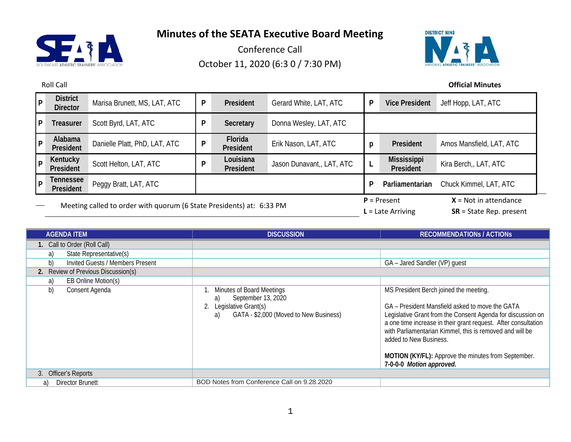

Conference Call October 11, 2020 (6:3 0 / 7:30 PM)



Roll Call **Official Minutes**

| P            | <b>District</b><br><b>Director</b>                                   | Marisa Brunett, MS, LAT, ATC  | P | President              | Gerard White, LAT, ATC    | P                                    | <b>Vice President</b>                                | Jeff Hopp, LAT, ATC      |
|--------------|----------------------------------------------------------------------|-------------------------------|---|------------------------|---------------------------|--------------------------------------|------------------------------------------------------|--------------------------|
| $\mathsf{P}$ | Treasurer                                                            | Scott Byrd, LAT, ATC          | P | Secretary              | Donna Wesley, LAT, ATC    |                                      |                                                      |                          |
| P            | Alabama<br>President                                                 | Danielle Platt, PhD, LAT, ATC | P | Florida<br>President   | Erik Nason, LAT, ATC      | p                                    | President                                            | Amos Mansfield, LAT, ATC |
| ∣P.          | Kentucky<br>President                                                | Scott Helton, LAT, ATC        | D | Louisiana<br>President | Jason Dunavant,, LAT, ATC |                                      | Mississippi<br>President                             | Kira Berch,, LAT, ATC    |
| l P          | Tennessee<br>President                                               | Peggy Bratt, LAT, ATC         |   |                        |                           | P                                    | Parliamentarian                                      | Chuck Kimmel, LAT, ATC   |
|              | Meeting called to order with quorum (6 State Presidents) at: 6:33 PM |                               |   |                        |                           | $P =$ Present<br>$L =$ Late Arriving | $X = Not in attendance$<br>$SR = State Rep. present$ |                          |

| <b>AGENDA ITEM</b>                     | <b>DISCUSSION</b>                                                                                                                    | <b>RECOMMENDATIONS / ACTIONS</b>                                                                                                                                                                                                                                                                                                                                                                    |  |
|----------------------------------------|--------------------------------------------------------------------------------------------------------------------------------------|-----------------------------------------------------------------------------------------------------------------------------------------------------------------------------------------------------------------------------------------------------------------------------------------------------------------------------------------------------------------------------------------------------|--|
| 1. Call to Order (Roll Call)           |                                                                                                                                      |                                                                                                                                                                                                                                                                                                                                                                                                     |  |
| State Representative(s)<br>a)          |                                                                                                                                      |                                                                                                                                                                                                                                                                                                                                                                                                     |  |
| b)<br>Invited Guests / Members Present |                                                                                                                                      | GA - Jared Sandler (VP) guest                                                                                                                                                                                                                                                                                                                                                                       |  |
| 2. Review of Previous Discussion(s)    |                                                                                                                                      |                                                                                                                                                                                                                                                                                                                                                                                                     |  |
| EB Online Motion(s)<br>a)              |                                                                                                                                      |                                                                                                                                                                                                                                                                                                                                                                                                     |  |
| b)<br>Consent Agenda                   | <b>Minutes of Board Meetings</b><br>September 13, 2020<br>a)<br>Legislative Grant(s)<br>GATA - \$2,000 (Moved to New Business)<br>a) | MS President Berch joined the meeting.<br>GA – President Mansfield asked to move the GATA<br>Legislative Grant from the Consent Agenda for discussion on<br>a one time increase in their grant request. After consultation<br>with Parliamentarian Kimmel, this is removed and will be<br>added to New Business.<br>MOTION (KY/FL): Approve the minutes from September.<br>7-0-0-0 Motion approved. |  |
| 3. Officer's Reports                   |                                                                                                                                      |                                                                                                                                                                                                                                                                                                                                                                                                     |  |
| Director Brunett<br>a)                 | BOD Notes from Conference Call on 9.28.2020                                                                                          |                                                                                                                                                                                                                                                                                                                                                                                                     |  |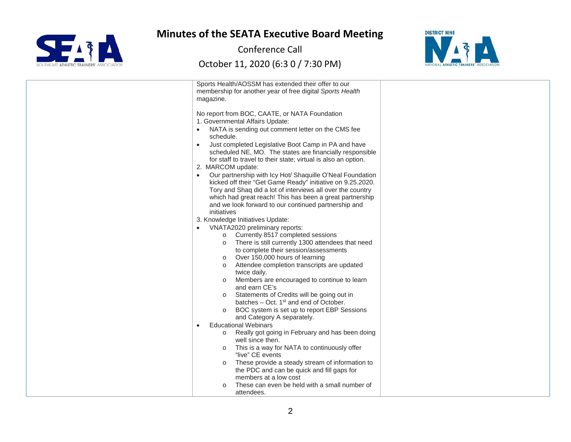

Conference Call



| Sports Health/AOSSM has extended their offer to our              |  |
|------------------------------------------------------------------|--|
| membership for another year of free digital Sports Health        |  |
| magazine.                                                        |  |
|                                                                  |  |
| No report from BOC, CAATE, or NATA Foundation                    |  |
| 1. Governmental Affairs Update:                                  |  |
| NATA is sending out comment letter on the CMS fee                |  |
|                                                                  |  |
| schedule.                                                        |  |
| Just completed Legislative Boot Camp in PA and have<br>$\bullet$ |  |
| scheduled NE, MO. The states are financially responsible         |  |
| for staff to travel to their state; virtual is also an option.   |  |
| 2. MARCOM update:                                                |  |
| Our partnership with Icy Hot/ Shaquille O'Neal Foundation        |  |
| kicked off their "Get Game Ready" initiative on 9.25.2020.       |  |
| Tory and Shaq did a lot of interviews all over the country       |  |
| which had great reach! This has been a great partnership         |  |
| and we look forward to our continued partnership and             |  |
| initiatives                                                      |  |
| 3. Knowledge Initiatives Update:                                 |  |
| VNATA2020 preliminary reports:                                   |  |
| o Currently 8517 completed sessions                              |  |
| There is still currently 1300 attendees that need<br>$\circ$     |  |
| to complete their session/assessments                            |  |
|                                                                  |  |
| Over 150,000 hours of learning<br>$\circ$                        |  |
| Attendee completion transcripts are updated<br>$\circ$           |  |
| twice daily.                                                     |  |
| Members are encouraged to continue to learn                      |  |
| and earn CE's                                                    |  |
| Statements of Credits will be going out in<br>$\circ$            |  |
| batches $-$ Oct. 1 <sup>st</sup> and end of October.             |  |
| BOC system is set up to report EBP Sessions<br>$\circ$           |  |
| and Category A separately.                                       |  |
| <b>Educational Webinars</b><br>$\bullet$                         |  |
| Really got going in February and has been doing<br>$\circ$       |  |
| well since then.                                                 |  |
| This is a way for NATA to continuously offer<br>$\circ$          |  |
| "live" CE events                                                 |  |
| These provide a steady stream of information to<br>$\circ$       |  |
| the PDC and can be quick and fill gaps for                       |  |
| members at a low cost                                            |  |
| These can even be held with a small number of                    |  |
| attendees.                                                       |  |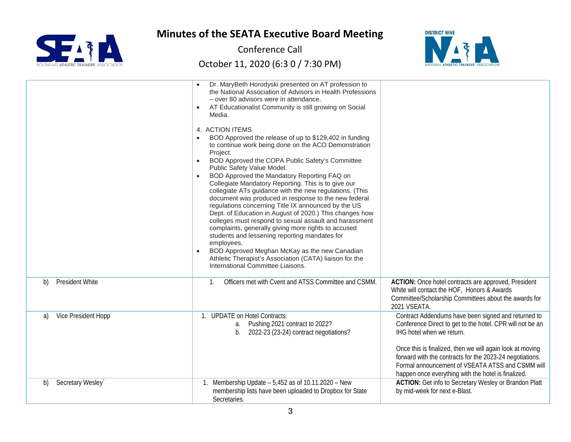

Conference Call



|    |                        | Dr. MaryBeth Horodyski presented on AT profession to<br>the National Association of Advisors in Health Professions<br>- over 80 advisors were in attendance.<br>AT Educationalist Community is still growing on Social<br>$\bullet$<br>Media.<br>4. ACTION ITEMS<br>BOD Approved the release of up to \$129,402 in funding<br>to continue work being done on the ACO Demonstration<br>Project.<br>BOD Approved the COPA Public Safety's Committee<br>$\bullet$<br>Public Safety Value Model.<br>BOD Approved the Mandatory Reporting FAQ on<br>$\bullet$<br>Collegiate Mandatory Reporting. This is to give our<br>collegiate ATs guidance with the new regulations. (This<br>document was produced in response to the new federal<br>regulations concerning Title IX announced by the US<br>Dept. of Education in August of 2020.) This changes how<br>colleges must respond to sexual assault and harassment<br>complaints, generally giving more rights to accused<br>students and lessening reporting mandates for<br>employees.<br>BOD Approved Meghan McKay as the new Canadian<br>Athletic Therapist's Association (CATA) liaison for the<br>International Committee Liaisons. |                                                                                                                                                                                                                                                                                                                                                                                   |
|----|------------------------|---------------------------------------------------------------------------------------------------------------------------------------------------------------------------------------------------------------------------------------------------------------------------------------------------------------------------------------------------------------------------------------------------------------------------------------------------------------------------------------------------------------------------------------------------------------------------------------------------------------------------------------------------------------------------------------------------------------------------------------------------------------------------------------------------------------------------------------------------------------------------------------------------------------------------------------------------------------------------------------------------------------------------------------------------------------------------------------------------------------------------------------------------------------------------------------|-----------------------------------------------------------------------------------------------------------------------------------------------------------------------------------------------------------------------------------------------------------------------------------------------------------------------------------------------------------------------------------|
| b) | <b>President White</b> | Officers met with Cvent and ATSS Committee and CSMM.<br>$\mathbf{1}$                                                                                                                                                                                                                                                                                                                                                                                                                                                                                                                                                                                                                                                                                                                                                                                                                                                                                                                                                                                                                                                                                                                  | ACTION: Once hotel contracts are approved, President<br>White will contact the HOF, Honors & Awards<br>Committee/Scholarship Committees about the awards for<br>2021 VSEATA.                                                                                                                                                                                                      |
| a) | Vice President Hopp    | 1. UPDATE on Hotel Contracts:<br>Pushing 2021 contract to 2022?<br>a.<br>2022-23 (23-24) contract negotiations?<br>$b_{1}$                                                                                                                                                                                                                                                                                                                                                                                                                                                                                                                                                                                                                                                                                                                                                                                                                                                                                                                                                                                                                                                            | Contract Addendums have been signed and returned to<br>Conference Direct to get to the hotel. CPR will not be an<br>IHG hotel when we return.<br>Once this is finalized, then we will again look at moving<br>forward with the contracts for the 2023-24 negotiations.<br>Formal announcement of VSEATA ATSS and CSMM will<br>happen once everything with the hotel is finalized. |
| b) | Secretary Wesley`      | Membership Update $-5,452$ as of 10.11.2020 - New<br>membership lists have been uploaded to Dropbox for State<br>Secretaries.                                                                                                                                                                                                                                                                                                                                                                                                                                                                                                                                                                                                                                                                                                                                                                                                                                                                                                                                                                                                                                                         | <b>ACTION:</b> Get info to Secretary Wesley or Brandon Platt<br>by mid-week for next e-Blast.                                                                                                                                                                                                                                                                                     |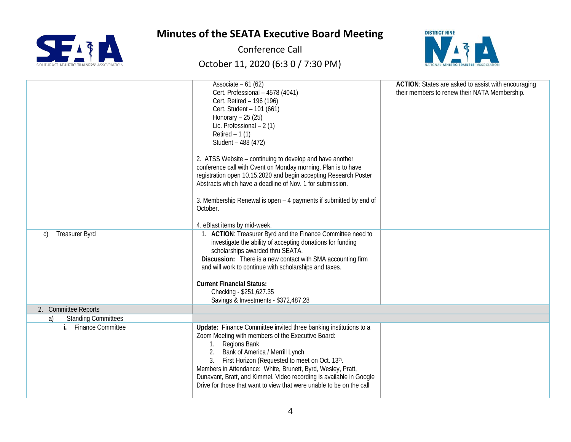

Conference Call



|                                  | Associate $-61(62)$<br>Cert. Professional - 4578 (4041)<br>Cert. Retired - 196 (196)<br>Cert. Student - 101 (661)<br>Honorary $-25(25)$<br>Lic. Professional $-2(1)$<br>Retired $-1(1)$<br>Student - 488 (472)<br>2. ATSS Website – continuing to develop and have another<br>conference call with Cvent on Monday morning. Plan is to have<br>registration open 10.15.2020 and begin accepting Research Poster<br>Abstracts which have a deadline of Nov. 1 for submission.<br>3. Membership Renewal is open - 4 payments if submitted by end of<br>October.<br>4. eBlast items by mid-week. | ACTION: States are asked to assist with encouraging<br>their members to renew their NATA Membership. |
|----------------------------------|-----------------------------------------------------------------------------------------------------------------------------------------------------------------------------------------------------------------------------------------------------------------------------------------------------------------------------------------------------------------------------------------------------------------------------------------------------------------------------------------------------------------------------------------------------------------------------------------------|------------------------------------------------------------------------------------------------------|
|                                  |                                                                                                                                                                                                                                                                                                                                                                                                                                                                                                                                                                                               |                                                                                                      |
| <b>Treasurer Byrd</b><br>C)      | 1. ACTION: Treasurer Byrd and the Finance Committee need to<br>investigate the ability of accepting donations for funding<br>scholarships awarded thru SEATA.<br>Discussion: There is a new contact with SMA accounting firm<br>and will work to continue with scholarships and taxes.<br><b>Current Financial Status:</b><br>Checking - \$251,627.35<br>Savings & Investments - \$372,487.28                                                                                                                                                                                                 |                                                                                                      |
| 2. Committee Reports             |                                                                                                                                                                                                                                                                                                                                                                                                                                                                                                                                                                                               |                                                                                                      |
| <b>Standing Committees</b><br>a) |                                                                                                                                                                                                                                                                                                                                                                                                                                                                                                                                                                                               |                                                                                                      |
| i. Finance Committee             | Update: Finance Committee invited three banking institutions to a<br>Zoom Meeting with members of the Executive Board:<br>1. Regions Bank<br>Bank of America / Merrill Lynch<br>First Horizon (Requested to meet on Oct. 13th.<br>Members in Attendance: White, Brunett, Byrd, Wesley, Pratt,<br>Dunavant, Bratt, and Kimmel. Video recording is available in Google<br>Drive for those that want to view that were unable to be on the call                                                                                                                                                  |                                                                                                      |